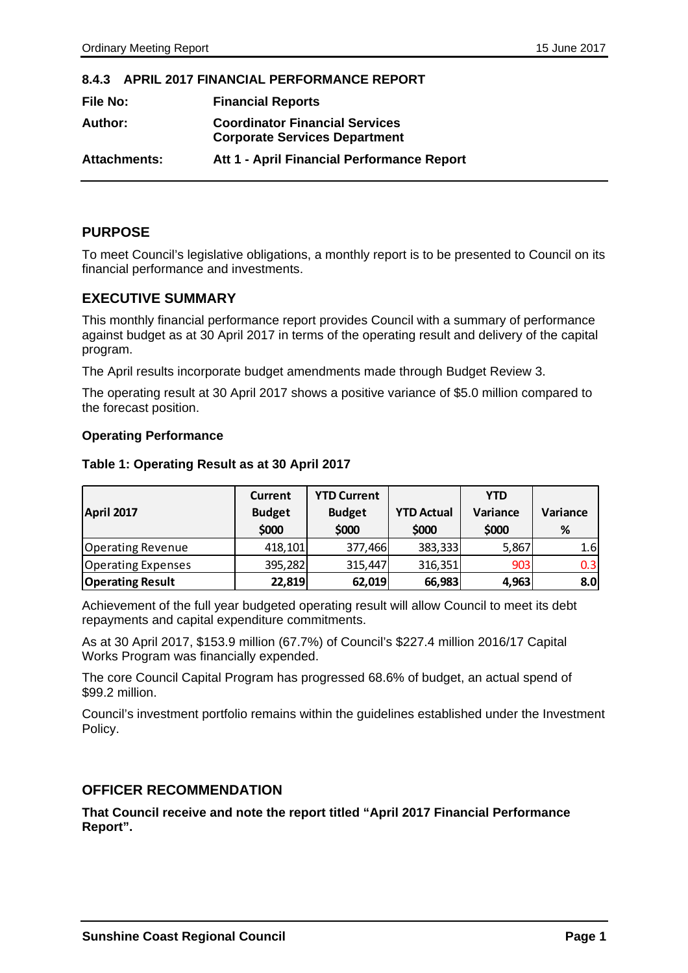#### **8.4.3 APRIL 2017 FINANCIAL PERFORMANCE REPORT**

| <b>File No:</b>     | <b>Financial Reports</b>                                                      |
|---------------------|-------------------------------------------------------------------------------|
| Author:             | <b>Coordinator Financial Services</b><br><b>Corporate Services Department</b> |
| <b>Attachments:</b> | Att 1 - April Financial Performance Report                                    |

#### **PURPOSE**

To meet Council's legislative obligations, a monthly report is to be presented to Council on its financial performance and investments.

## **EXECUTIVE SUMMARY**

This monthly financial performance report provides Council with a summary of performance against budget as at 30 April 2017 in terms of the operating result and delivery of the capital program.

The April results incorporate budget amendments made through Budget Review 3.

The operating result at 30 April 2017 shows a positive variance of \$5.0 million compared to the forecast position.

#### **Operating Performance**

#### **Table 1: Operating Result as at 30 April 2017**

|                           | <b>YTD Current</b><br><b>Current</b> |               |                   | YTD      |          |  |
|---------------------------|--------------------------------------|---------------|-------------------|----------|----------|--|
| April 2017                | <b>Budget</b>                        | <b>Budget</b> | <b>YTD Actual</b> | Variance | Variance |  |
|                           | \$000                                | \$000         | \$000             | \$000    | %        |  |
| <b>Operating Revenue</b>  | 418,101                              | 377,466       | 383,333           | 5,867    | 1.6      |  |
| <b>Operating Expenses</b> | 395,282                              | 315,447       | 316,351           | 903      | 0.3      |  |
| <b>Operating Result</b>   | 22,819                               | 62,019        | 66,983            | 4,963    | 8.0      |  |

Achievement of the full year budgeted operating result will allow Council to meet its debt repayments and capital expenditure commitments.

As at 30 April 2017, \$153.9 million (67.7%) of Council's \$227.4 million 2016/17 Capital Works Program was financially expended.

The core Council Capital Program has progressed 68.6% of budget, an actual spend of \$99.2 million.

Council's investment portfolio remains within the guidelines established under the Investment Policy.

#### **OFFICER RECOMMENDATION**

**That Council receive and note the report titled "April 2017 Financial Performance Report".**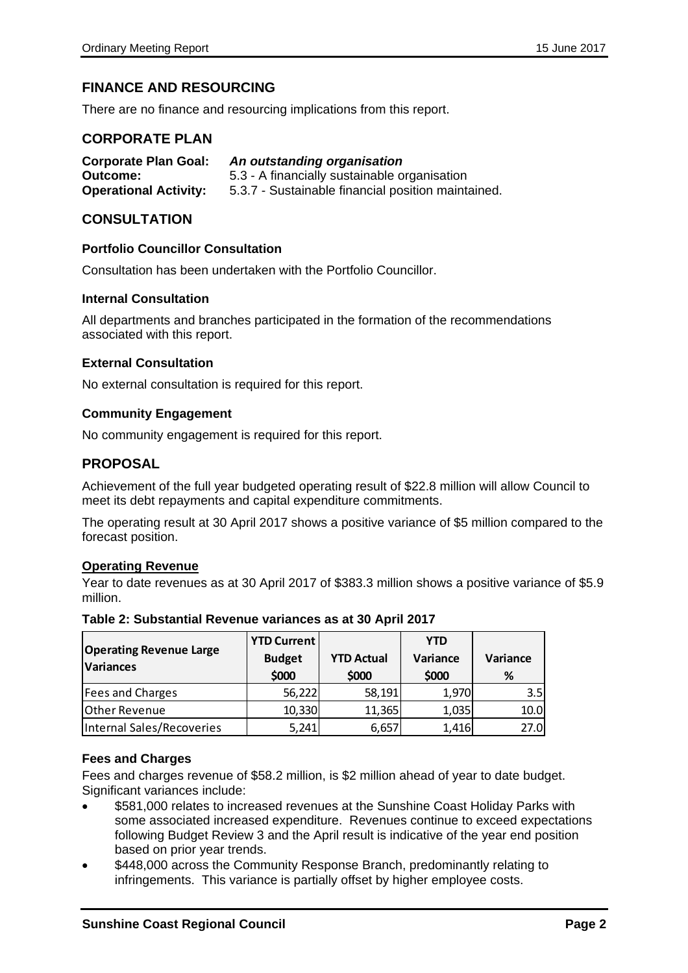# **FINANCE AND RESOURCING**

There are no finance and resourcing implications from this report.

#### **CORPORATE PLAN**

| <b>Corporate Plan Goal:</b>  | An outstanding organisation                        |
|------------------------------|----------------------------------------------------|
| Outcome:                     | 5.3 - A financially sustainable organisation       |
| <b>Operational Activity:</b> | 5.3.7 - Sustainable financial position maintained. |

#### **CONSULTATION**

#### **Portfolio Councillor Consultation**

Consultation has been undertaken with the Portfolio Councillor.

#### **Internal Consultation**

All departments and branches participated in the formation of the recommendations associated with this report.

#### **External Consultation**

No external consultation is required for this report.

#### **Community Engagement**

No community engagement is required for this report.

#### **PROPOSAL**

Achievement of the full year budgeted operating result of \$22.8 million will allow Council to meet its debt repayments and capital expenditure commitments.

The operating result at 30 April 2017 shows a positive variance of \$5 million compared to the forecast position.

#### **Operating Revenue**

Year to date revenues as at 30 April 2017 of \$383.3 million shows a positive variance of \$5.9 million.

| <b>Operating Revenue Large</b><br><b>Variances</b> | <b>YTD Current</b><br><b>Budget</b> | <b>YTD Actual</b> | <b>YTD</b><br>Variance | Variance |  |
|----------------------------------------------------|-------------------------------------|-------------------|------------------------|----------|--|
|                                                    | \$000                               | \$000             | \$000                  | %        |  |
| Fees and Charges                                   | 56,222                              | 58,191            | 1,970                  | 3.5      |  |
| <b>Other Revenue</b>                               | 10,330                              | 11,365            | 1,035                  | 10.0     |  |
| Internal Sales/Recoveries                          | 5,241                               | 6,657             | 1,416                  | 27.0     |  |

#### **Table 2: Substantial Revenue variances as at 30 April 2017**

#### **Fees and Charges**

Fees and charges revenue of \$58.2 million, is \$2 million ahead of year to date budget. Significant variances include:

- \$581,000 relates to increased revenues at the Sunshine Coast Holiday Parks with some associated increased expenditure. Revenues continue to exceed expectations following Budget Review 3 and the April result is indicative of the year end position based on prior year trends.
- \$448,000 across the Community Response Branch, predominantly relating to infringements. This variance is partially offset by higher employee costs.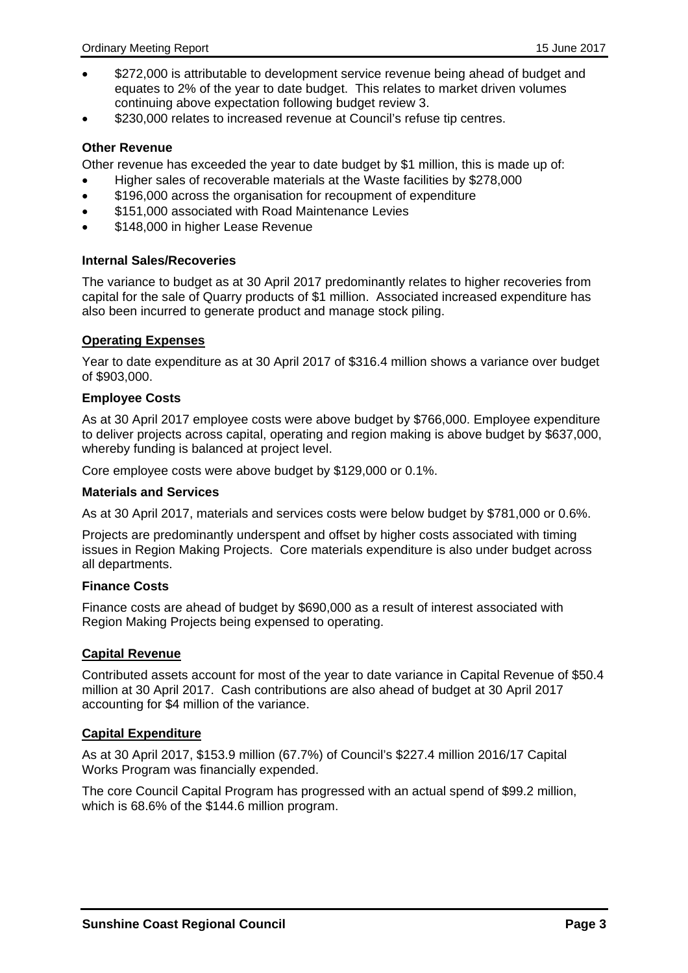- \$272,000 is attributable to development service revenue being ahead of budget and equates to 2% of the year to date budget. This relates to market driven volumes continuing above expectation following budget review 3.
- \$230,000 relates to increased revenue at Council's refuse tip centres.

#### **Other Revenue**

Other revenue has exceeded the year to date budget by \$1 million, this is made up of:

- Higher sales of recoverable materials at the Waste facilities by \$278,000
- \$196,000 across the organisation for recoupment of expenditure
- \$151,000 associated with Road Maintenance Levies
- **\$148,000 in higher Lease Revenue**

#### **Internal Sales/Recoveries**

The variance to budget as at 30 April 2017 predominantly relates to higher recoveries from capital for the sale of Quarry products of \$1 million. Associated increased expenditure has also been incurred to generate product and manage stock piling.

#### **Operating Expenses**

Year to date expenditure as at 30 April 2017 of \$316.4 million shows a variance over budget of \$903,000.

#### **Employee Costs**

As at 30 April 2017 employee costs were above budget by \$766,000. Employee expenditure to deliver projects across capital, operating and region making is above budget by \$637,000, whereby funding is balanced at project level.

Core employee costs were above budget by \$129,000 or 0.1%.

#### **Materials and Services**

As at 30 April 2017, materials and services costs were below budget by \$781,000 or 0.6%.

Projects are predominantly underspent and offset by higher costs associated with timing issues in Region Making Projects. Core materials expenditure is also under budget across all departments.

#### **Finance Costs**

Finance costs are ahead of budget by \$690,000 as a result of interest associated with Region Making Projects being expensed to operating.

#### **Capital Revenue**

Contributed assets account for most of the year to date variance in Capital Revenue of \$50.4 million at 30 April 2017. Cash contributions are also ahead of budget at 30 April 2017 accounting for \$4 million of the variance.

#### **Capital Expenditure**

As at 30 April 2017, \$153.9 million (67.7%) of Council's \$227.4 million 2016/17 Capital Works Program was financially expended.

The core Council Capital Program has progressed with an actual spend of \$99.2 million, which is 68.6% of the \$144.6 million program.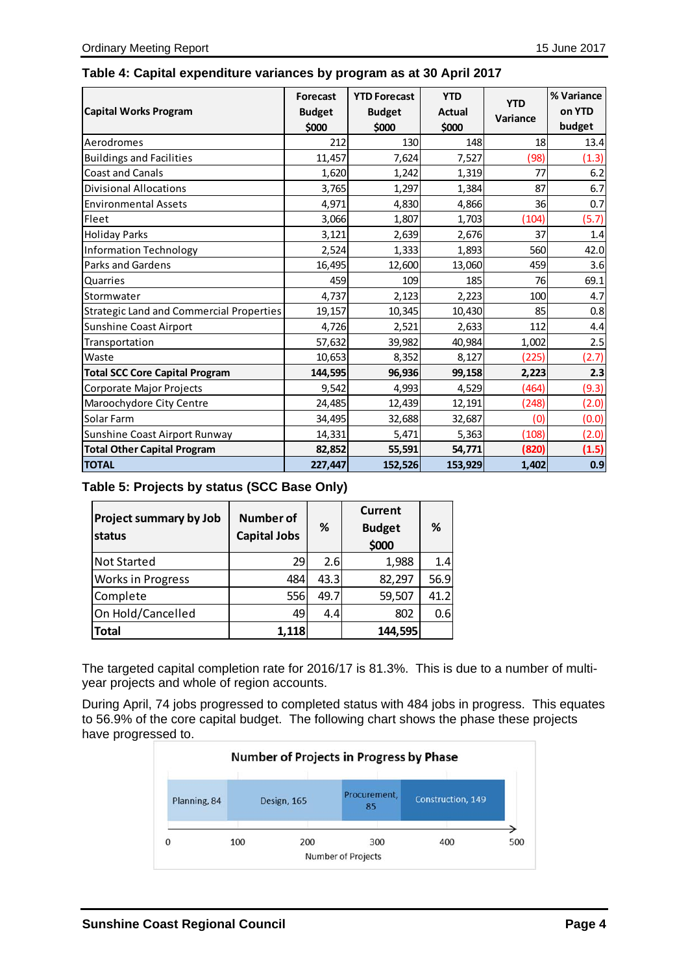|  |  |  |  |  | Table 4: Capital expenditure variances by program as at 30 April 2017 |
|--|--|--|--|--|-----------------------------------------------------------------------|
|--|--|--|--|--|-----------------------------------------------------------------------|

| <b>Capital Works Program</b>             | Forecast<br><b>Budget</b><br>\$000 | <b>YTD Forecast</b><br><b>Budget</b><br>\$000 | <b>YTD</b><br><b>Actual</b><br>\$000 | <b>YTD</b><br>Variance | % Variance<br>on YTD<br>budget |
|------------------------------------------|------------------------------------|-----------------------------------------------|--------------------------------------|------------------------|--------------------------------|
| Aerodromes                               | 212                                | 130                                           | 148                                  | 18                     | 13.4                           |
| <b>Buildings and Facilities</b>          | 11,457                             | 7,624                                         | 7,527                                | (98)                   | (1.3)                          |
| <b>Coast and Canals</b>                  | 1,620                              | 1,242                                         | 1,319                                | 77                     | 6.2                            |
| <b>Divisional Allocations</b>            | 3,765                              | 1,297                                         | 1,384                                | 87                     | 6.7                            |
| <b>Environmental Assets</b>              | 4,971                              | 4,830                                         | 4,866                                | 36                     | 0.7                            |
| Fleet                                    | 3,066                              | 1,807                                         | 1,703                                | (104)                  | (5.7)                          |
| <b>Holiday Parks</b>                     | 3,121                              | 2,639                                         | 2,676                                | 37                     | 1.4                            |
| <b>Information Technology</b>            | 2,524                              | 1,333                                         | 1,893                                | 560                    | 42.0                           |
| <b>Parks and Gardens</b>                 | 16,495                             | 12,600                                        | 13,060                               | 459                    | 3.6                            |
| Quarries                                 | 459                                | 109                                           | 185                                  | 76                     | 69.1                           |
| Stormwater                               | 4,737                              | 2,123                                         | 2,223                                | 100                    | 4.7                            |
| Strategic Land and Commercial Properties | 19,157                             | 10,345                                        | 10,430                               | 85                     | 0.8                            |
| Sunshine Coast Airport                   | 4,726                              | 2,521                                         | 2,633                                | 112                    | 4.4                            |
| Transportation                           | 57,632                             | 39,982                                        | 40,984                               | 1,002                  | 2.5                            |
| Waste                                    | 10,653                             | 8,352                                         | 8,127                                | (225)                  | (2.7)                          |
| <b>Total SCC Core Capital Program</b>    | 144,595                            | 96,936                                        | 99,158                               | 2,223                  | 2.3                            |
| Corporate Major Projects                 | 9,542                              | 4,993                                         | 4,529                                | (464)                  | (9.3)                          |
| Maroochydore City Centre                 | 24,485                             | 12,439                                        | 12,191                               | (248)                  | (2.0)                          |
| Solar Farm                               | 34,495                             | 32,688                                        | 32,687                               | (0)                    | (0.0)                          |
| Sunshine Coast Airport Runway            | 14,331                             | 5,471                                         | 5,363                                | (108)                  | (2.0)                          |
| <b>Total Other Capital Program</b>       | 82,852                             | 55,591                                        | 54,771                               | (820)                  | (1.5)                          |
| <b>TOTAL</b>                             | 227,447                            | 152,526                                       | 153,929                              | 1,402                  | 0.9                            |

# **Table 5: Projects by status (SCC Base Only)**

| <b>Project summary by Job</b><br>status | <b>Number of</b><br><b>Capital Jobs</b> | ℅    | <b>Current</b><br><b>Budget</b><br>\$000 | ℅    |
|-----------------------------------------|-----------------------------------------|------|------------------------------------------|------|
| <b>Not Started</b>                      | 29                                      | 2.6  | 1,988                                    | 1.4  |
| <b>Works in Progress</b>                | 484                                     | 43.3 | 82,297                                   | 56.9 |
| Complete                                | 556                                     | 49.7 | 59,507                                   | 41.2 |
| On Hold/Cancelled                       | 49                                      | 4.4  | 802                                      | 0.6  |
| <b>Total</b>                            | 1,118                                   |      | 144,595                                  |      |

The targeted capital completion rate for 2016/17 is 81.3%. This is due to a number of multiyear projects and whole of region accounts.

During April, 74 jobs progressed to completed status with 484 jobs in progress. This equates to 56.9% of the core capital budget. The following chart shows the phase these projects have progressed to.

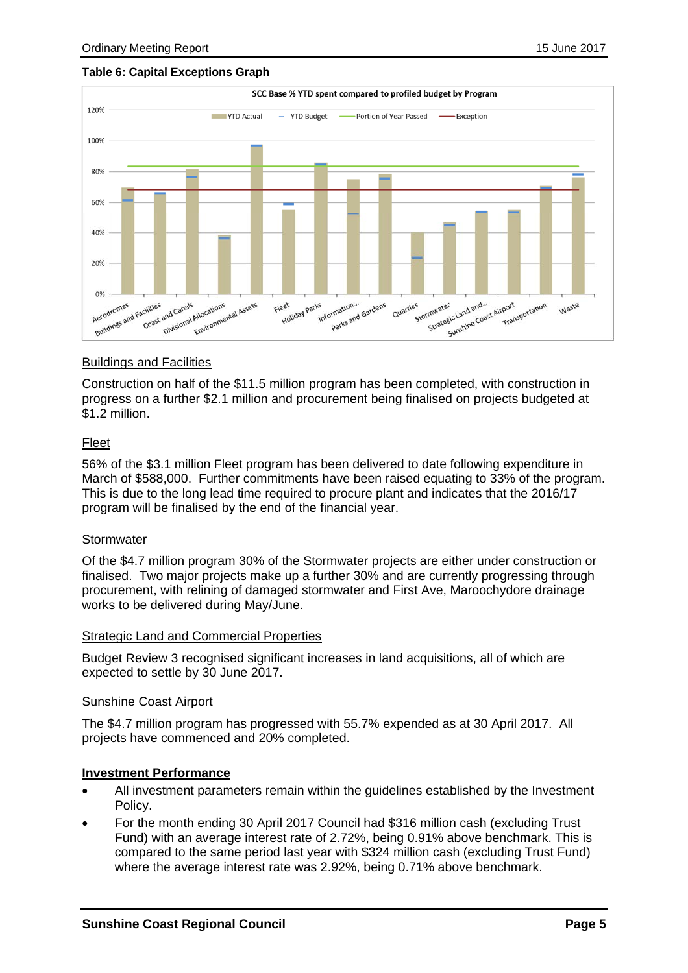#### **Table 6: Capital Exceptions Graph**



#### Buildings and Facilities

Construction on half of the \$11.5 million program has been completed, with construction in progress on a further \$2.1 million and procurement being finalised on projects budgeted at \$1.2 million.

#### Fleet

56% of the \$3.1 million Fleet program has been delivered to date following expenditure in March of \$588,000. Further commitments have been raised equating to 33% of the program. This is due to the long lead time required to procure plant and indicates that the 2016/17 program will be finalised by the end of the financial year.

#### **Stormwater**

Of the \$4.7 million program 30% of the Stormwater projects are either under construction or finalised. Two major projects make up a further 30% and are currently progressing through procurement, with relining of damaged stormwater and First Ave, Maroochydore drainage works to be delivered during May/June.

#### Strategic Land and Commercial Properties

Budget Review 3 recognised significant increases in land acquisitions, all of which are expected to settle by 30 June 2017.

#### Sunshine Coast Airport

The \$4.7 million program has progressed with 55.7% expended as at 30 April 2017. All projects have commenced and 20% completed.

#### **Investment Performance**

- All investment parameters remain within the guidelines established by the Investment Policy.
- For the month ending 30 April 2017 Council had \$316 million cash (excluding Trust Fund) with an average interest rate of 2.72%, being 0.91% above benchmark. This is compared to the same period last year with \$324 million cash (excluding Trust Fund) where the average interest rate was 2.92%, being 0.71% above benchmark.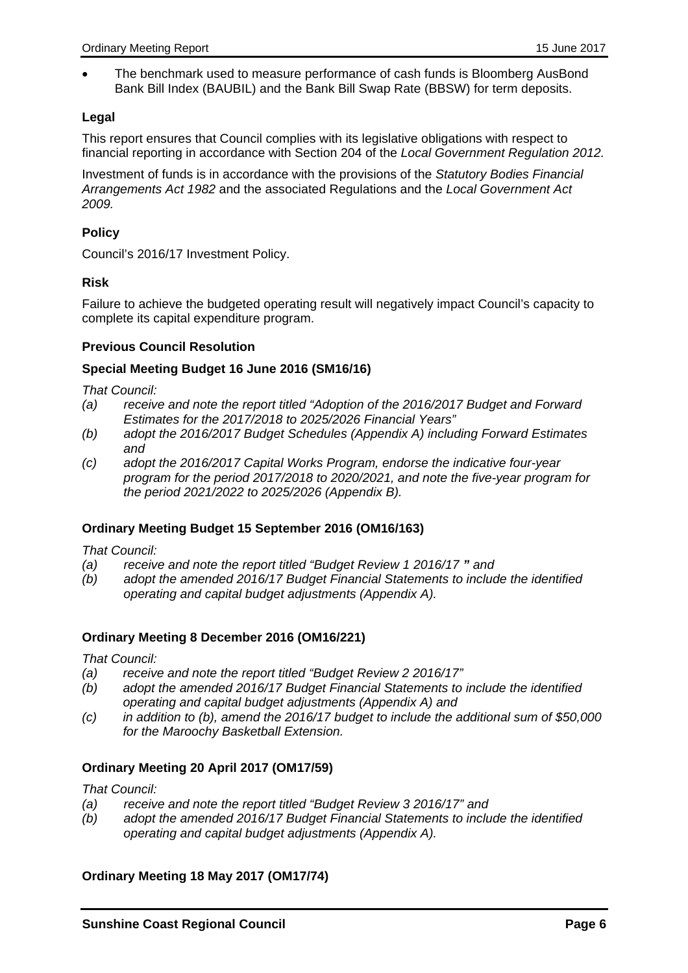The benchmark used to measure performance of cash funds is Bloomberg AusBond Bank Bill Index (BAUBIL) and the Bank Bill Swap Rate (BBSW) for term deposits.

#### **Legal**

This report ensures that Council complies with its legislative obligations with respect to financial reporting in accordance with Section 204 of the *Local Government Regulation 2012.* 

Investment of funds is in accordance with the provisions of the *Statutory Bodies Financial Arrangements Act 1982* and the associated Regulations and the *Local Government Act 2009.* 

#### **Policy**

Council's 2016/17 Investment Policy.

#### **Risk**

Failure to achieve the budgeted operating result will negatively impact Council's capacity to complete its capital expenditure program.

#### **Previous Council Resolution**

#### **Special Meeting Budget 16 June 2016 (SM16/16)**

*That Council:* 

- *(a) receive and note the report titled "Adoption of the 2016/2017 Budget and Forward Estimates for the 2017/2018 to 2025/2026 Financial Years"*
- *(b) adopt the 2016/2017 Budget Schedules (Appendix A) including Forward Estimates and*
- *(c) adopt the 2016/2017 Capital Works Program, endorse the indicative four-year program for the period 2017/2018 to 2020/2021, and note the five-year program for the period 2021/2022 to 2025/2026 (Appendix B).*

#### **Ordinary Meeting Budget 15 September 2016 (OM16/163)**

*That Council:* 

*(a) receive and note the report titled "Budget Review 1 2016/17 " and* 

*(b) adopt the amended 2016/17 Budget Financial Statements to include the identified operating and capital budget adjustments (Appendix A).* 

#### **Ordinary Meeting 8 December 2016 (OM16/221)**

*That Council:* 

- *(a) receive and note the report titled "Budget Review 2 2016/17"*
- *(b) adopt the amended 2016/17 Budget Financial Statements to include the identified operating and capital budget adjustments (Appendix A) and*
- *(c) in addition to (b), amend the 2016/17 budget to include the additional sum of \$50,000 for the Maroochy Basketball Extension.*

#### **Ordinary Meeting 20 April 2017 (OM17/59)**

*That Council:* 

- *(a) receive and note the report titled "Budget Review 3 2016/17" and*
- *(b) adopt the amended 2016/17 Budget Financial Statements to include the identified operating and capital budget adjustments (Appendix A).*

#### **Ordinary Meeting 18 May 2017 (OM17/74)**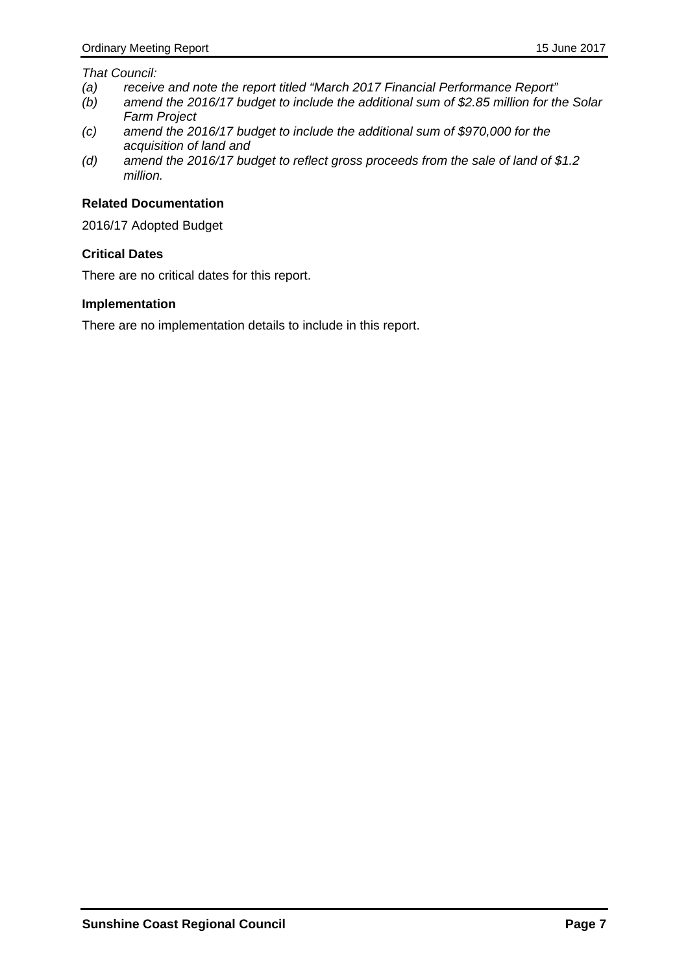#### *That Council:*

- *(a) receive and note the report titled "March 2017 Financial Performance Report"*
- *(b) amend the 2016/17 budget to include the additional sum of \$2.85 million for the Solar Farm Project*
- *(c) amend the 2016/17 budget to include the additional sum of \$970,000 for the acquisition of land and*
- *(d) amend the 2016/17 budget to reflect gross proceeds from the sale of land of \$1.2 million.*

#### **Related Documentation**

2016/17 Adopted Budget

#### **Critical Dates**

There are no critical dates for this report.

#### **Implementation**

There are no implementation details to include in this report.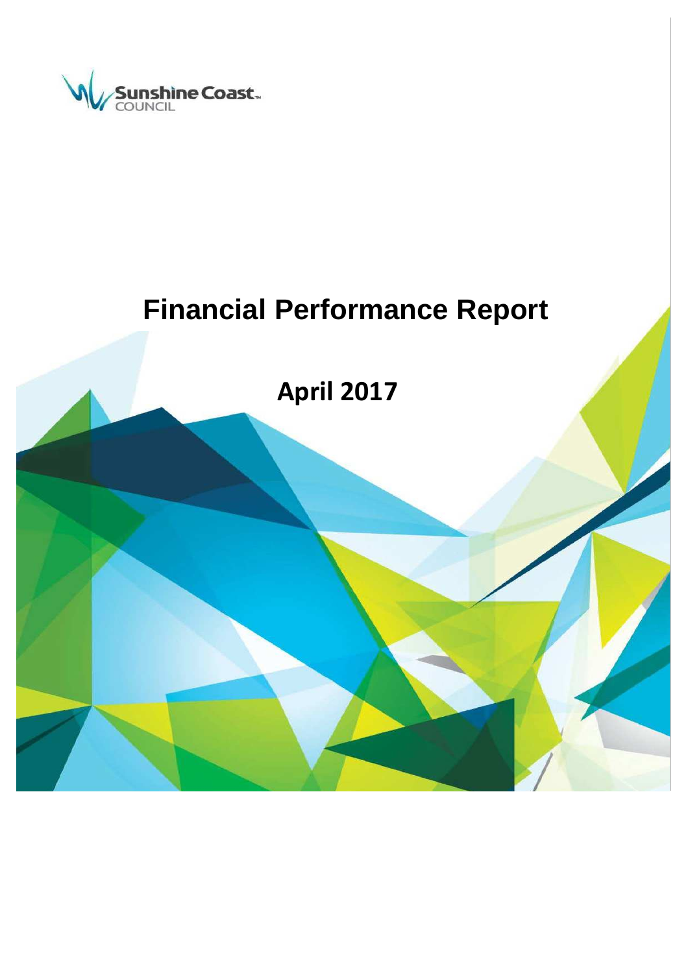

# **Financial Performance Report**

**April 2017**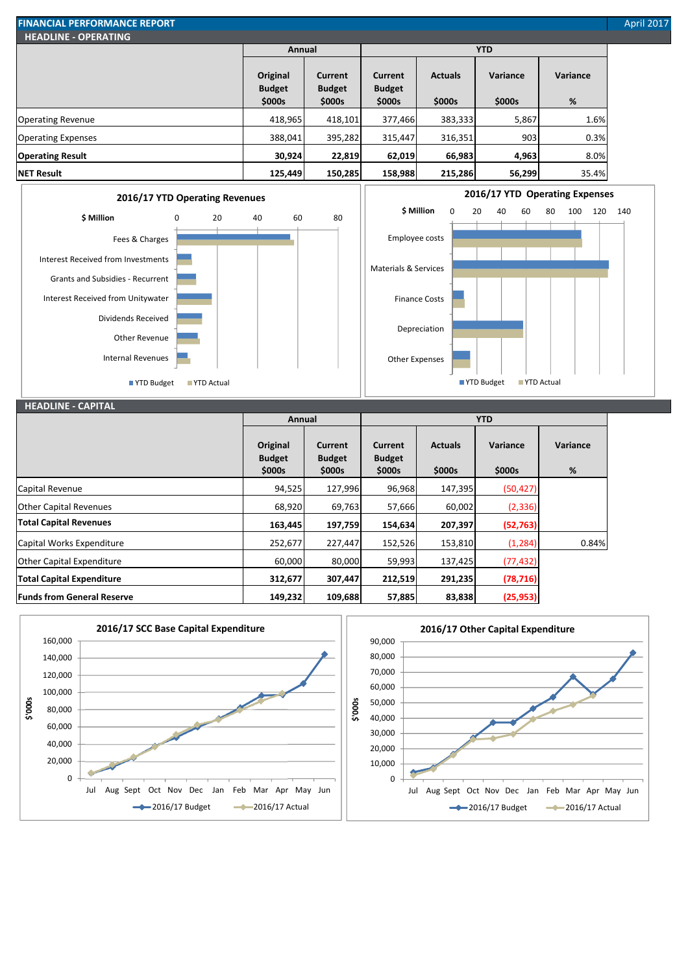| <b>FINANCIAL PERFORMANCE REPORT</b> |                           |                                 |                                 |                |            |          | <b>April 2017</b> |
|-------------------------------------|---------------------------|---------------------------------|---------------------------------|----------------|------------|----------|-------------------|
| <b>HEADLINE - OPERATING</b>         |                           |                                 |                                 |                |            |          |                   |
|                                     | Annual                    |                                 |                                 |                | <b>YTD</b> |          |                   |
|                                     | Original<br><b>Budget</b> | <b>Current</b><br><b>Budget</b> | <b>Current</b><br><b>Budget</b> | <b>Actuals</b> | Variance   | Variance |                   |
|                                     | \$000s                    | \$000s                          | \$000s                          | \$000s         | \$000s     | %        |                   |
| <b>Operating Revenue</b>            | 418,965                   | 418,101                         | 377,466                         | 383,333        | 5,867      | 1.6%     |                   |
| <b>Operating Expenses</b>           | 388,041                   | 395,282                         | 315,447                         | 316,351        | 903        | 0.3%     |                   |
| <b>Operating Result</b>             | 30,924                    | 22,819                          | 62,019                          | 66,983         | 4,963      | 8.0%     |                   |
| <b>NET Result</b>                   | 125,449                   | 150,285                         | 158,988                         | 215,286        | 56,299     | 35.4%    |                   |





#### **HEADLINE - CAPITAL Original Budget \$000s Current Budget \$000s Current Budget \$000s Actuals \$000s Variance \$000s Variance %** Capital Revenue 2012 127,996 127,996 96,968 147,395 (50,427 Other Capital Revenues 68,920 69,763 57,666 60,002 (2,336) **Total Capital Revenues 163,445 197,759 154,634 207,397 (52,763)** Capital Works Expenditure 252,677 152,526 153,810 153,810 152,526 153,810 (1,284) Other Capital Expenditure 60,000 80,000 59,993 137,425 (77,432) **Total Capital Expenditure 312,677 307,447 212,519 291,235 (78,716) Funds from General Reserve 149,232 109,688 57,885 83,838 (25,953) Annual YTD**

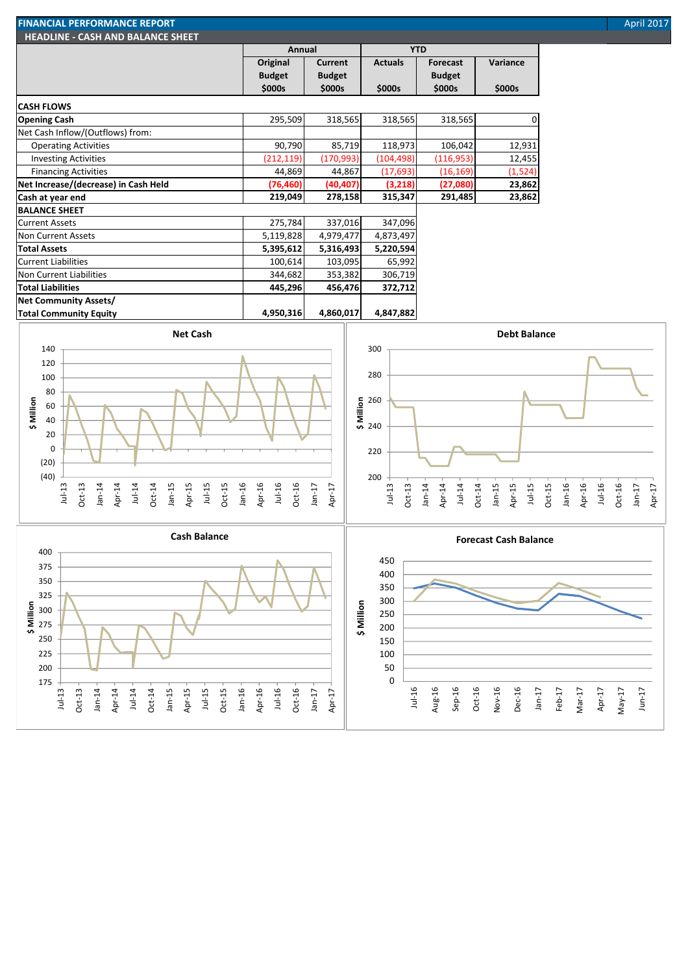| April 201 |  |
|-----------|--|
|           |  |

| <b>FINANCIAL PERFORMANCE REPORT</b>       |               |               |                |                 |          | <b>April 2017</b> |
|-------------------------------------------|---------------|---------------|----------------|-----------------|----------|-------------------|
| <b>HEADLINE - CASH AND BALANCE SHEET.</b> |               |               |                |                 |          |                   |
|                                           | Annual        |               |                | <b>YTD</b>      |          |                   |
|                                           | Original      | Current       | <b>Actuals</b> | <b>Forecast</b> | Variance |                   |
|                                           | <b>Budget</b> | <b>Budget</b> |                | <b>Budget</b>   |          |                   |
|                                           | \$000s        | \$000s        | \$000s         | \$000s          | \$000s   |                   |

**CASH FLOWS**

Jul-13 Oct-13 Jan-14 Apr-14 Jul-14 Oct-14 Jan-15 Apr-15 Jul-15 Oct-15 Jan-16 Apr-16 Jul-16 Oct-16 Jan-17 Apr-17

| .                                    |            |            |            |            |          |
|--------------------------------------|------------|------------|------------|------------|----------|
| <b>Opening Cash</b>                  | 295,509    | 318,565    | 318,565    | 318,565    | 0        |
| Net Cash Inflow/(Outflows) from:     |            |            |            |            |          |
| <b>Operating Activities</b>          | 90,790     | 85,719     | 118,973    | 106,042    | 12,931   |
| <b>Investing Activities</b>          | (212, 119) | (170, 993) | (104, 498) | (116, 953) | 12,455   |
| <b>Financing Activities</b>          | 44,869     | 44,867     | (17, 693)  | (16, 169)  | (1, 524) |
| Net Increase/(decrease) in Cash Held | (76, 460)  | (40, 407)  | (3,218)    | (27,080)   | 23,862   |
| Cash at year end                     | 219,049    | 278,158    | 315,347    | 291,485    | 23,862   |
| <b>BALANCE SHEET</b>                 |            |            |            |            |          |
| <b>Current Assets</b>                | 275,784    | 337,016    | 347,096    |            |          |
| Non Current Assets                   | 5,119,828  | 4,979,477  | 4,873,497  |            |          |
| <b>Total Assets</b>                  | 5,395,612  | 5,316,493  | 5,220,594  |            |          |
| <b>Current Liabilities</b>           | 100,614    | 103,095    | 65,992     |            |          |
| Non Current Liabilities              | 344,682    | 353,382    | 306,719    |            |          |
| <b>Total Liabilities</b>             | 445,296    | 456,476    | 372,712    |            |          |
| <b>Net Community Assets/</b>         |            |            |            |            |          |
| <b>Total Community Equity</b>        | 4,950,316  | 4,860,017  | 4,847,882  |            |          |
|                                      |            |            |            |            |          |



Jul-16 Aug-16 Sep-16 Oct-16 Nov-16 Dec-16 Jan-17 Feb-17 Mar-17 Apr-17 May-17 Jun-17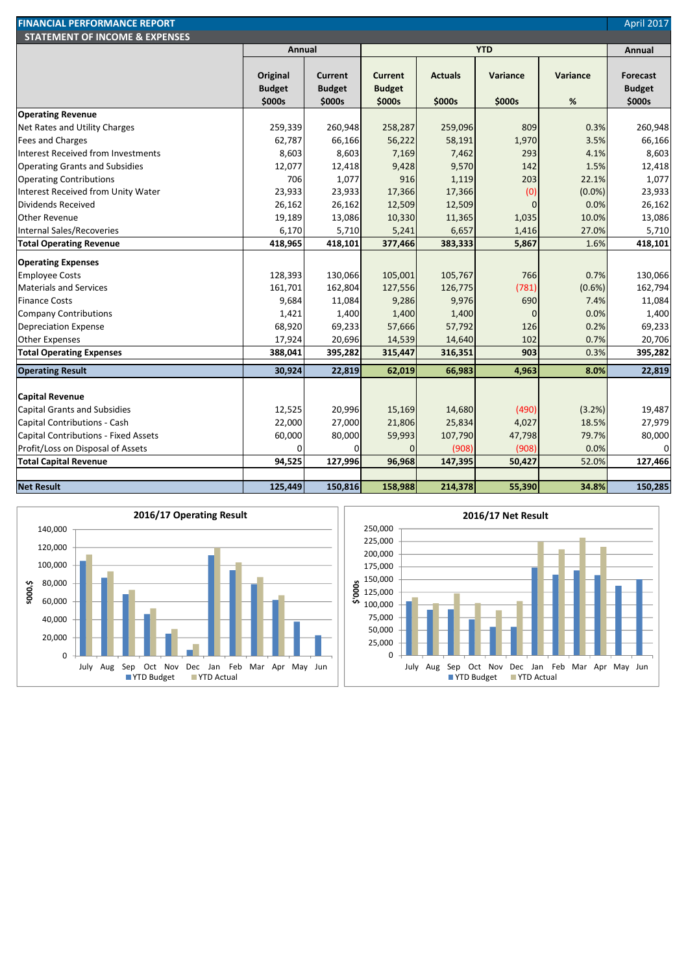| <b>FINANCIAL PERFORMANCE REPORT</b>       |                                     |                                           |                                           |                          |                           |                  | <b>April 2017</b>                   |
|-------------------------------------------|-------------------------------------|-------------------------------------------|-------------------------------------------|--------------------------|---------------------------|------------------|-------------------------------------|
| <b>STATEMENT OF INCOME &amp; EXPENSES</b> |                                     |                                           |                                           |                          |                           |                  |                                     |
|                                           | Annual                              |                                           |                                           |                          | <b>YTD</b>                |                  | Annual                              |
|                                           | Original<br><b>Budget</b><br>\$000s | <b>Current</b><br><b>Budget</b><br>\$000s | <b>Current</b><br><b>Budget</b><br>\$000s | <b>Actuals</b><br>\$000s | <b>Variance</b><br>\$000s | Variance<br>$\%$ | Forecast<br><b>Budget</b><br>\$000s |
| <b>Operating Revenue</b>                  |                                     |                                           |                                           |                          |                           |                  |                                     |
| Net Rates and Utility Charges             | 259,339                             | 260,948                                   | 258,287                                   | 259,096                  | 809                       | 0.3%             | 260,948                             |
| Fees and Charges                          | 62,787                              | 66,166                                    | 56,222                                    | 58,191                   | 1,970                     | 3.5%             | 66,166                              |
| Interest Received from Investments        | 8,603                               | 8,603                                     | 7,169                                     | 7,462                    | 293                       | 4.1%             | 8,603                               |
| <b>Operating Grants and Subsidies</b>     | 12,077                              | 12,418                                    | 9,428                                     | 9,570                    | 142                       | 1.5%             | 12,418                              |
| <b>Operating Contributions</b>            | 706                                 | 1,077                                     | 916                                       | 1,119                    | 203                       | 22.1%            | 1,077                               |
| Interest Received from Unity Water        | 23,933                              | 23,933                                    | 17,366                                    | 17,366                   | (0)                       | $(0.0\%)$        | 23,933                              |
| Dividends Received                        | 26,162                              | 26,162                                    | 12,509                                    | 12,509                   | $\Omega$                  | 0.0%             | 26,162                              |
| <b>Other Revenue</b>                      | 19,189                              | 13,086                                    | 10,330                                    | 11,365                   | 1,035                     | 10.0%            | 13,086                              |
| Internal Sales/Recoveries                 | 6,170                               | 5,710                                     | 5,241                                     | 6,657                    | 1,416                     | 27.0%            | 5,710                               |
| <b>Total Operating Revenue</b>            | 418,965                             | 418,101                                   | 377,466                                   | 383,333                  | 5,867                     | 1.6%             | 418,101                             |
| <b>Operating Expenses</b>                 |                                     |                                           |                                           |                          |                           |                  |                                     |
| Employee Costs                            | 128,393                             | 130,066                                   | 105,001                                   | 105,767                  | 766                       | 0.7%             | 130,066                             |
| <b>Materials and Services</b>             | 161,701                             | 162,804                                   | 127,556                                   | 126,775                  | (781)                     | (0.6%)           | 162,794                             |
| <b>Finance Costs</b>                      | 9,684                               | 11,084                                    | 9,286                                     | 9,976                    | 690                       | 7.4%             | 11,084                              |
| <b>Company Contributions</b>              | 1,421                               | 1,400                                     | 1,400                                     | 1,400                    | $\Omega$                  | 0.0%             | 1,400                               |
| <b>Depreciation Expense</b>               | 68,920                              | 69,233                                    | 57,666                                    | 57,792                   | 126                       | 0.2%             | 69,233                              |
| <b>Other Expenses</b>                     | 17,924                              | 20,696                                    | 14,539                                    | 14,640                   | 102                       | 0.7%             | 20,706                              |
| <b>Total Operating Expenses</b>           | 388,041                             | 395,282                                   | 315,447                                   | 316,351                  | 903                       | 0.3%             | 395,282                             |
| <b>Operating Result</b>                   | 30,924                              | 22,819                                    | 62,019                                    | 66,983                   | 4,963                     | 8.0%             | 22,819                              |
|                                           |                                     |                                           |                                           |                          |                           |                  |                                     |
| <b>Capital Revenue</b>                    |                                     |                                           |                                           |                          |                           |                  |                                     |
| <b>Capital Grants and Subsidies</b>       | 12,525                              | 20,996                                    | 15,169                                    | 14,680                   | (490)                     | (3.2%)           | 19,487                              |
| Capital Contributions - Cash              | 22,000                              | 27,000                                    | 21,806                                    | 25,834                   | 4,027                     | 18.5%            | 27,979                              |
| Capital Contributions - Fixed Assets      | 60,000                              | 80,000                                    | 59,993                                    | 107,790                  | 47,798                    | 79.7%            | 80,000                              |
| Profit/Loss on Disposal of Assets         | $\Omega$                            |                                           | $\mathbf{0}$                              | (908)                    | (908)                     | 0.0%             | $\Omega$                            |
| <b>Total Capital Revenue</b>              | 94,525                              | 127,996                                   | 96,968                                    | 147,395                  | 50,427                    | 52.0%            | 127,466                             |
| <b>Net Result</b>                         | 125,449                             | 150,816                                   | 158,988                                   | 214,378                  | 55,390                    | 34.8%            | 150,285                             |



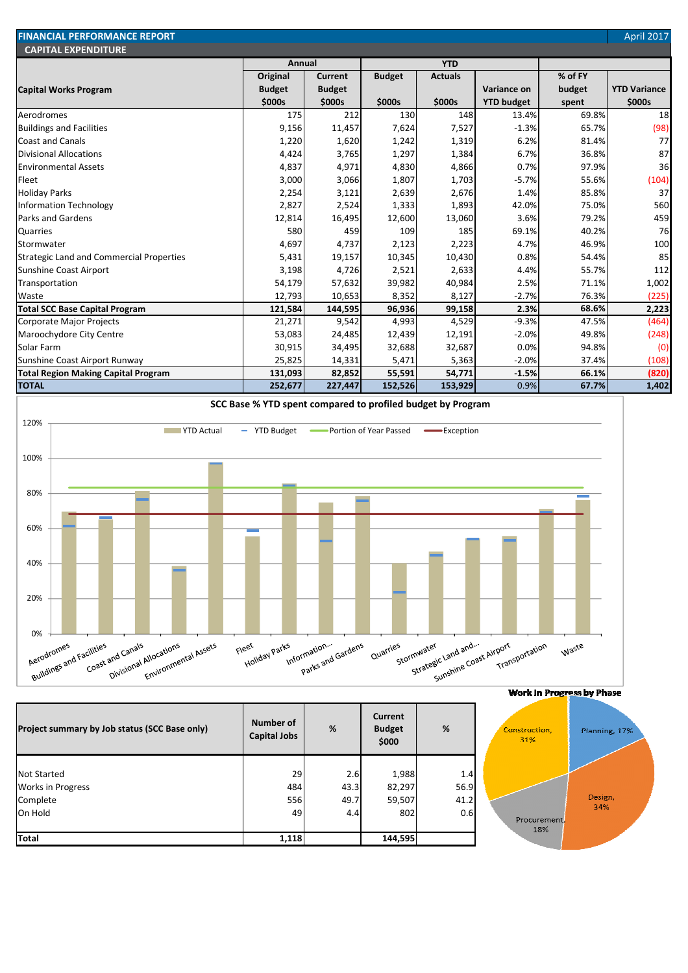| <b>FINANCIAL PERFORMANCE REPORT</b>             |               |                |               |                |                   |         | April 2017          |
|-------------------------------------------------|---------------|----------------|---------------|----------------|-------------------|---------|---------------------|
| <b>CAPITAL EXPENDITURE</b>                      | Annual        |                | <b>YTD</b>    |                |                   |         |                     |
|                                                 | Original      | <b>Current</b> | <b>Budget</b> | <b>Actuals</b> |                   | % of FY |                     |
| <b>Capital Works Program</b>                    | <b>Budget</b> | <b>Budget</b>  |               |                | Variance on       | budget  | <b>YTD Variance</b> |
|                                                 | \$000s        | \$000s         | \$000s        | \$000s         | <b>YTD budget</b> | spent   | \$000s              |
| Aerodromes                                      | 175           | 212            | 130           | 148            | 13.4%             | 69.8%   | 18                  |
| <b>Buildings and Facilities</b>                 | 9,156         | 11,457         | 7,624         | 7,527          | $-1.3%$           | 65.7%   | (98)                |
| <b>Coast and Canals</b>                         | 1,220         | 1,620          | 1,242         | 1,319          | 6.2%              | 81.4%   | 77                  |
| <b>Divisional Allocations</b>                   | 4,424         | 3,765          | 1,297         | 1,384          | 6.7%              | 36.8%   | 87                  |
| <b>Environmental Assets</b>                     | 4,837         | 4,971          | 4,830         | 4,866          | 0.7%              | 97.9%   | 36                  |
| Fleet                                           | 3,000         | 3,066          | 1,807         | 1,703          | $-5.7%$           | 55.6%   | (104)               |
| <b>Holiday Parks</b>                            | 2,254         | 3,121          | 2,639         | 2,676          | 1.4%              | 85.8%   | 37                  |
| <b>Information Technology</b>                   | 2,827         | 2,524          | 1,333         | 1,893          | 42.0%             | 75.0%   | 560                 |
| <b>Parks and Gardens</b>                        | 12,814        | 16,495         | 12,600        | 13,060         | 3.6%              | 79.2%   | 459                 |
| <b>Quarries</b>                                 | 580           | 459            | 109           | 185            | 69.1%             | 40.2%   | 76                  |
| Stormwater                                      | 4,697         | 4,737          | 2,123         | 2,223          | 4.7%              | 46.9%   | 100                 |
| <b>Strategic Land and Commercial Properties</b> | 5,431         | 19,157         | 10,345        | 10,430         | 0.8%              | 54.4%   | 85                  |
| Sunshine Coast Airport                          | 3,198         | 4,726          | 2,521         | 2,633          | 4.4%              | 55.7%   | 112                 |
| Transportation                                  | 54,179        | 57,632         | 39,982        | 40,984         | 2.5%              | 71.1%   | 1,002               |
| Waste                                           | 12,793        | 10,653         | 8,352         | 8,127          | $-2.7%$           | 76.3%   | (225)               |
| <b>Total SCC Base Capital Program</b>           | 121,584       | 144,595        | 96,936        | 99,158         | 2.3%              | 68.6%   | 2,223               |
| Corporate Major Projects                        | 21,271        | 9,542          | 4,993         | 4,529          | $-9.3%$           | 47.5%   | (464)               |
| Maroochydore City Centre                        | 53,083        | 24,485         | 12,439        | 12,191         | $-2.0%$           | 49.8%   | (248)               |
| Solar Farm                                      | 30,915        | 34,495         | 32,688        | 32,687         | 0.0%              | 94.8%   | (0)                 |
| Sunshine Coast Airport Runway                   | 25,825        | 14,331         | 5,471         | 5,363          | $-2.0%$           | 37.4%   | (108)               |
| <b>Total Region Making Capital Program</b>      | 131,093       | 82,852         | 55,591        | 54,771         | $-1.5%$           | 66.1%   | (820)               |
| <b>TOTAL</b>                                    | 252,677       | 227,447        | 152,526       | 153,929        | 0.9%              | 67.7%   | 1,402               |



| Project summary by Job status (SCC Base only)              | Number of<br><b>Capital Jobs</b> | %                   | Current<br><b>Budget</b><br>\$000 | %                   | Construction,<br>31% |
|------------------------------------------------------------|----------------------------------|---------------------|-----------------------------------|---------------------|----------------------|
| <b>Not Started</b><br><b>Works in Progress</b><br>Complete | 29<br>484<br>556                 | 2.6<br>43.3<br>49.7 | 1,988<br>82,297<br>59,507         | 1.4<br>56.9<br>41.2 |                      |
| On Hold<br><b>Total</b>                                    | 49<br>1,118                      | 4.4                 | 802<br>144,595                    | 0.6                 | Procurem<br>18%      |

#### Work In Progress by Phase